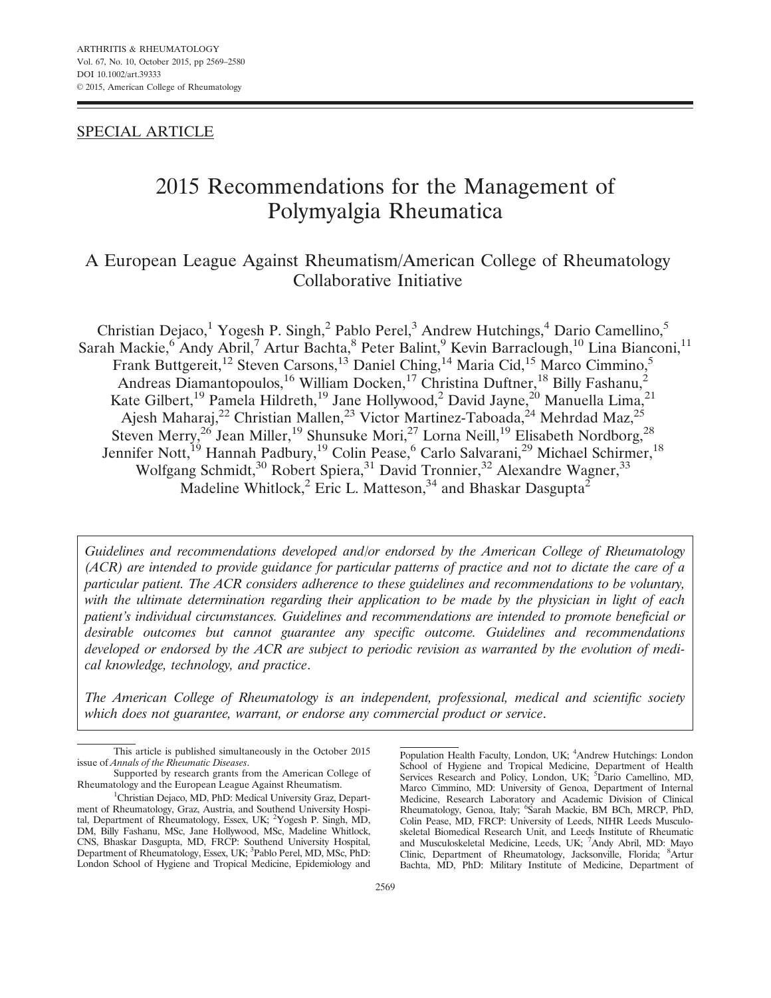# SPECIAL ARTICLE

# 2015 Recommendations for the Management of Polymyalgia Rheumatica

# A European League Against Rheumatism/American College of Rheumatology Collaborative Initiative

Christian Dejaco,<sup>1</sup> Yogesh P. Singh,<sup>2</sup> Pablo Perel,<sup>3</sup> Andrew Hutchings,<sup>4</sup> Dario Camellino,<sup>5</sup> Sarah Mackie,<sup>6</sup> Andy Abril,<sup>7</sup> Artur Bachta,<sup>8</sup> Peter Balint,<sup>9</sup> Kevin Barraclough,<sup>10</sup> Lina Bianconi,<sup>11</sup> Frank Buttgereit,<sup>12</sup> Steven Carsons,<sup>13</sup> Daniel Ching,<sup>14</sup> Maria Cid,<sup>15</sup> Marco Cimmino,<sup>5</sup> Andreas Diamantopoulos,<sup>16</sup> William Docken,<sup>17</sup> Christina Duftner,<sup>18</sup> Billy Fashanu,<sup>2</sup> Kate Gilbert,<sup>19</sup> Pamela Hildreth,<sup>19</sup> Jane Hollywood,<sup>2</sup> David Jayne,<sup>20</sup> Manuella Lima,<sup>21</sup> Ajesh Maharaj,<sup>22</sup> Christian Mallen,<sup>23</sup> Victor Martinez-Taboada,<sup>24</sup> Mehrdad Maz,<sup>25</sup> Steven Merry,<sup>26</sup> Jean Miller,<sup>19</sup> Shunsuke Mori,<sup>27</sup> Lorna Neill,<sup>19</sup> Elisabeth Nordborg,<sup>28</sup> Jennifer Nott,<sup>19</sup> Hannah Padbury,<sup>19</sup> Colin Pease,<sup>6</sup> Carlo Salvarani,<sup>29</sup> Michael Schirmer,<sup>18</sup> Wolfgang Schmidt,<sup>30</sup> Robert Spiera,<sup>31</sup> David Tronnier,<sup>32</sup> Alexandre Wagner,<sup>33</sup> Madeline Whitlock,<sup>2</sup> Eric L. Matteson,<sup>34</sup> and Bhaskar Dasgupta<sup>2</sup>

Guidelines and recommendations developed and/or endorsed by the American College of Rheumatology (ACR) are intended to provide guidance for particular patterns of practice and not to dictate the care of a particular patient. The ACR considers adherence to these guidelines and recommendations to be voluntary, with the ultimate determination regarding their application to be made by the physician in light of each patient's individual circumstances. Guidelines and recommendations are intended to promote beneficial or desirable outcomes but cannot guarantee any specific outcome. Guidelines and recommendations developed or endorsed by the ACR are subject to periodic revision as warranted by the evolution of medical knowledge, technology, and practice.

The American College of Rheumatology is an independent, professional, medical and scientific society which does not guarantee, warrant, or endorse any commercial product or service.

This article is published simultaneously in the October 2015 issue of Annals of the Rheumatic Diseases.

Supported by research grants from the American College of Rheumatology and the European League Against Rheumatism.

<sup>&</sup>lt;sup>1</sup>Christian Dejaco, MD, PhD: Medical University Graz, Department of Rheumatology, Graz, Austria, and Southend University Hospital, Department of Rheumatology, Essex, UK; <sup>2</sup>Yogesh P. Singh, MD, DM, Billy Fashanu, MSc, Jane Hollywood, MSc, Madeline Whitlock, CNS, Bhaskar Dasgupta, MD, FRCP: Southend University Hospital, Department of Rheumatology, Essex, UK; <sup>3</sup>Pablo Perel, MD, MSc, PhD: London School of Hygiene and Tropical Medicine, Epidemiology and

Population Health Faculty, London, UK; <sup>4</sup>Andrew Hutchings: London School of Hygiene and Tropical Medicine, Department of Health<br>Services Research and Policy, London, UK; <sup>5</sup>Dario Camellino, MD, Marco Cimmino, MD: University of Genoa, Department of Internal Medicine, Research Laboratory and Academic Division of Clinical Rheumatology, Genoa, Italy; <sup>6</sup>Sarah Mackie, BM BCh, MRCP, PhD, Colin Pease, MD, FRCP: University of Leeds, NIHR Leeds Musculoskeletal Biomedical Research Unit, and Leeds Institute of Rheumatic and Musculoskeletal Medicine, Leeds, UK; <sup>7</sup>Andy Abril, MD: Mayo Clinic, Department of Rheumatology, Jacksonville, Florida; <sup>8</sup> Artur Bachta, MD, PhD: Military Institute of Medicine, Department of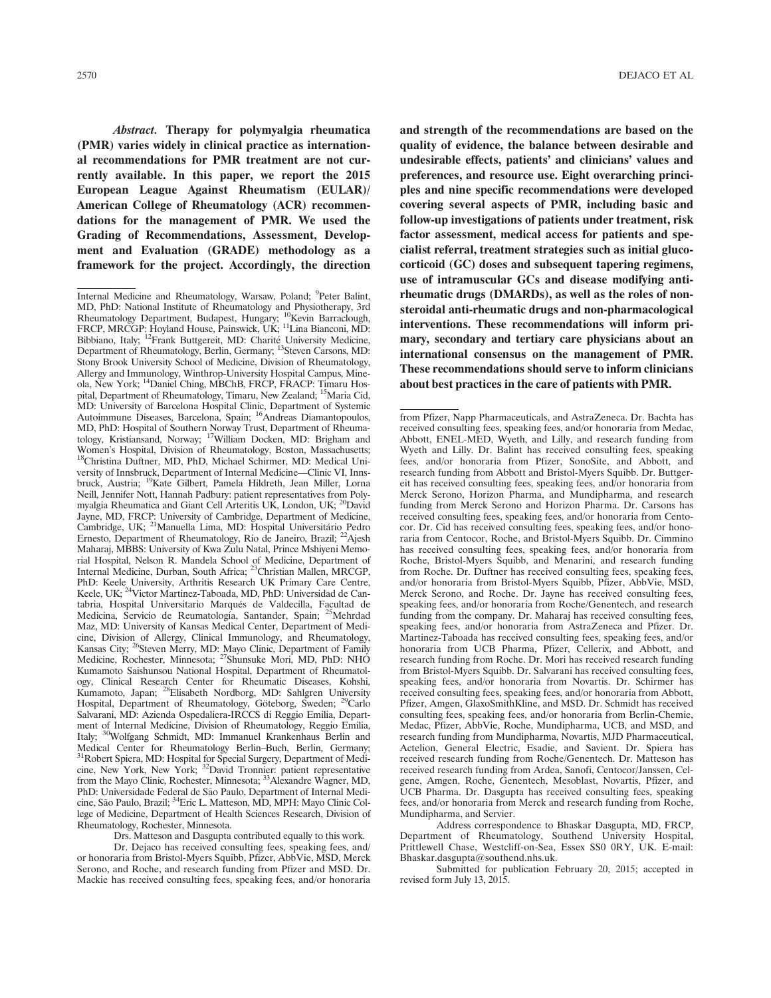Abstract. Therapy for polymyalgia rheumatica (PMR) varies widely in clinical practice as international recommendations for PMR treatment are not currently available. In this paper, we report the 2015 European League Against Rheumatism (EULAR)/ American College of Rheumatology (ACR) recommendations for the management of PMR. We used the Grading of Recommendations, Assessment, Development and Evaluation (GRADE) methodology as a framework for the project. Accordingly, the direction

Drs. Matteson and Dasgupta contributed equally to this work.

Dr. Dejaco has received consulting fees, speaking fees, and/ or honoraria from Bristol-Myers Squibb, Pfizer, AbbVie, MSD, Merck Serono, and Roche, and research funding from Pfizer and MSD. Dr. Mackie has received consulting fees, speaking fees, and/or honoraria and strength of the recommendations are based on the quality of evidence, the balance between desirable and undesirable effects, patients' and clinicians' values and preferences, and resource use. Eight overarching principles and nine specific recommendations were developed covering several aspects of PMR, including basic and follow-up investigations of patients under treatment, risk factor assessment, medical access for patients and specialist referral, treatment strategies such as initial glucocorticoid (GC) doses and subsequent tapering regimens, use of intramuscular GCs and disease modifying antirheumatic drugs (DMARDs), as well as the roles of nonsteroidal anti-rheumatic drugs and non-pharmacological interventions. These recommendations will inform primary, secondary and tertiary care physicians about an international consensus on the management of PMR. These recommendations should serve to inform clinicians about best practices in the care of patients with PMR.

Address correspondence to Bhaskar Dasgupta, MD, FRCP, Department of Rheumatology, Southend University Hospital, Prittlewell Chase, Westcliff-on-Sea, Essex SS0 0RY, UK. E-mail: Bhaskar.dasgupta@southend.nhs.uk.

Submitted for publication February 20, 2015; accepted in revised form July 13, 2015.

Internal Medicine and Rheumatology, Warsaw, Poland; <sup>9</sup>Peter Balint, MD, PhD: National Institute of Rheumatology and Physiotherapy, 3rd Rheumatology Department, Budapest, Hungary; <sup>10</sup>Kevin Barraclough, FRCP, MRCGP: Hoyland House, Painswick, UK; 11Lina Bianconi, MD: Bibbiano, Italy; <sup>12</sup>Frank Buttgereit, MD: Charité University Medicine, Department of Rheumatology, Berlin, Germany; <sup>13</sup>Steven Carsons, MD: Stony Brook University School of Medicine, Division of Rheumatology, Allergy and Immunology, Winthrop-University Hospital Campus, Mineola, New York; 14Daniel Ching, MBChB, FRCP, FRACP: Timaru Hospital, Department of Rheumatology, Timaru, New Zealand; <sup>15</sup>Maria Cid, MD: University of Barcelona Hospital Clinic, Department of Systemic Autoimmune Diseases, Barcelona, Spain; <sup>16</sup>Andreas Diamantopoulos, MD, PhD: Hospital of Southern Norway Trust, Department of Rheuma-tology, Kristiansand, Norway; 17William Docken, MD: Brigham and Women's Hospital, Division of Rheumatology, Boston, Massachusetts; 18Christina Duftner, MD, PhD, Michael Schirmer, MD: Medical University of Innsbruck, Department of Internal Medicine—Clinic VI, Innsbruck, Austria; <sup>19</sup>Kate Gilbert, Pamela Hildreth, Jean Miller, Lorna Neill, Jennifer Nott, Hannah Padbury: patient representatives from Polymyalgia Rheumatica and Giant Cell Arteritis UK, London, UK; <sup>20</sup>David Jayne, MD, FRCP: University of Cambridge, Department of Medicine, Cambridge, UK; <sup>21</sup>Manuella Lima, MD: Hospital Universitário Pedro Ernesto, Department of Rheumatology, Rio de Janeiro, Brazil; <sup>22</sup>Ajesh Maharaj, MBBS: University of Kwa Zulu Natal, Prince Mshiyeni Memorial Hospital, Nelson R. Mandela School of Medicine, Department of<br>Internal Medicine, Durban, South Africa; <sup>23</sup>Christian Mallen, MRCGP, PhD: Keele University, Arthritis Research UK Primary Care Centre, Keele, UK; 24Victor Martinez-Taboada, MD, PhD: Universidad de Cantabria, Hospital Universitario Marqués de Valdecilla, Facultad de Medicina, Servicio de Reumatología, Santander, Spain; <sup>25</sup>Mehrdad Maz, MD: University of Kansas Medical Center, Department of Medicine, Division of Allergy, Clinical Immunology, and Rheumatology, Kansas City; <sup>26</sup>Steven Merry, MD: Mayo Clinic, Department of Family Medicine, Rochester, Minnesota; 27Shunsuke Mori, MD, PhD: NHO Kumamoto Saishunsou National Hospital, Department of Rheumatology, Clinical Research Center for Rheumatic Diseases, Kohshi, Kumamoto, Japan; <sup>28</sup>Elisabeth Nordborg, MD: Sahlgren University Hospital, Department of Rheumatology, Göteborg, Sweden; <sup>29</sup>Carlo Salvarani, MD: Azienda Ospedaliera-IRCCS di Reggio Emilia, Department of Internal Medicine, Division of Rheumatology, Reggio Emilia, Italy; 30Wolfgang Schmidt, MD: Immanuel Krankenhaus Berlin and Medical Center for Rheumatology Berlin–Buch, Berlin, Germany; <sup>31</sup>Robert Spiera, MD: Hospital for Special Surgery, Department of Medicine, New York, New York; 32David Tronnier: patient representative from the Mayo Clinic, Rochester, Minnesota; 33Alexandre Wagner, MD, PhD: Universidade Federal de São Paulo, Department of Internal Medicine, São Paulo, Brazil; <sup>34</sup>Eric L. Matteson, MD, MPH: Mayo Clinic College of Medicine, Department of Health Sciences Research, Division of Rheumatology, Rochester, Minnesota.

from Pfizer, Napp Pharmaceuticals, and AstraZeneca. Dr. Bachta has received consulting fees, speaking fees, and/or honoraria from Medac, Abbott, ENEL-MED, Wyeth, and Lilly, and research funding from Wyeth and Lilly. Dr. Balint has received consulting fees, speaking fees, and/or honoraria from Pfizer, SonoSite, and Abbott, and research funding from Abbott and Bristol-Myers Squibb. Dr. Buttgereit has received consulting fees, speaking fees, and/or honoraria from Merck Serono, Horizon Pharma, and Mundipharma, and research funding from Merck Serono and Horizon Pharma. Dr. Carsons has received consulting fees, speaking fees, and/or honoraria from Centocor. Dr. Cid has received consulting fees, speaking fees, and/or honoraria from Centocor, Roche, and Bristol-Myers Squibb. Dr. Cimmino has received consulting fees, speaking fees, and/or honoraria from Roche, Bristol-Myers Squibb, and Menarini, and research funding from Roche. Dr. Duftner has received consulting fees, speaking fees, and/or honoraria from Bristol-Myers Squibb, Pfizer, AbbVie, MSD, Merck Serono, and Roche. Dr. Jayne has received consulting fees, speaking fees, and/or honoraria from Roche/Genentech, and research funding from the company. Dr. Maharaj has received consulting fees, speaking fees, and/or honoraria from AstraZeneca and Pfizer. Dr. Martinez-Taboada has received consulting fees, speaking fees, and/or honoraria from UCB Pharma, Pfizer, Cellerix, and Abbott, and research funding from Roche. Dr. Mori has received research funding from Bristol-Myers Squibb. Dr. Salvarani has received consulting fees, speaking fees, and/or honoraria from Novartis. Dr. Schirmer has received consulting fees, speaking fees, and/or honoraria from Abbott, Pfizer, Amgen, GlaxoSmithKline, and MSD. Dr. Schmidt has received consulting fees, speaking fees, and/or honoraria from Berlin-Chemie, Medac, Pfizer, AbbVie, Roche, Mundipharma, UCB, and MSD, and research funding from Mundipharma, Novartis, MJD Pharmaceutical, Actelion, General Electric, Esadie, and Savient. Dr. Spiera has received research funding from Roche/Genentech. Dr. Matteson has received research funding from Ardea, Sanofi, Centocor/Janssen, Celgene, Amgen, Roche, Genentech, Mesoblast, Novartis, Pfizer, and UCB Pharma. Dr. Dasgupta has received consulting fees, speaking fees, and/or honoraria from Merck and research funding from Roche, Mundipharma, and Servier.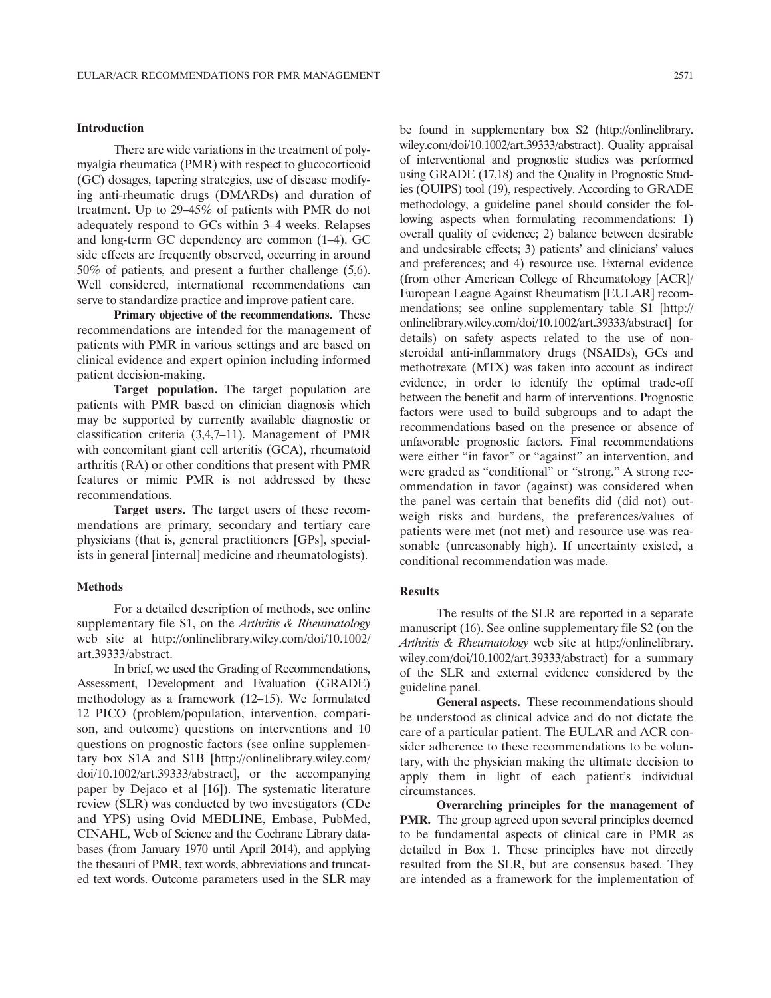# Introduction

There are wide variations in the treatment of polymyalgia rheumatica (PMR) with respect to glucocorticoid (GC) dosages, tapering strategies, use of disease modifying anti-rheumatic drugs (DMARDs) and duration of treatment. Up to 29–45% of patients with PMR do not adequately respond to GCs within 3–4 weeks. Relapses and long-term GC dependency are common (1–4). GC side effects are frequently observed, occurring in around 50% of patients, and present a further challenge (5,6). Well considered, international recommendations can serve to standardize practice and improve patient care.

Primary objective of the recommendations. These recommendations are intended for the management of patients with PMR in various settings and are based on clinical evidence and expert opinion including informed patient decision-making.

Target population. The target population are patients with PMR based on clinician diagnosis which may be supported by currently available diagnostic or classification criteria (3,4,7–11). Management of PMR with concomitant giant cell arteritis (GCA), rheumatoid arthritis (RA) or other conditions that present with PMR features or mimic PMR is not addressed by these recommendations.

Target users. The target users of these recommendations are primary, secondary and tertiary care physicians (that is, general practitioners [GPs], specialists in general [internal] medicine and rheumatologists).

# **Methods**

For a detailed description of methods, see online supplementary file S1, on the Arthritis & Rheumatology web site at http://onlinelibrary.wiley.com/doi/10.1002/ art.39333/abstract.

In brief, we used the Grading of Recommendations, Assessment, Development and Evaluation (GRADE) methodology as a framework (12–15). We formulated 12 PICO (problem/population, intervention, comparison, and outcome) questions on interventions and 10 questions on prognostic factors (see online supplementary box S1A and S1B [http://onlinelibrary.wiley.com/ doi/10.1002/art.39333/abstract], or the accompanying paper by Dejaco et al [16]). The systematic literature review (SLR) was conducted by two investigators (CDe and YPS) using Ovid MEDLINE, Embase, PubMed, CINAHL, Web of Science and the Cochrane Library databases (from January 1970 until April 2014), and applying the thesauri of PMR, text words, abbreviations and truncated text words. Outcome parameters used in the SLR may

be found in supplementary box S2 (http://onlinelibrary. wiley.com/doi/10.1002/art.39333/abstract). Quality appraisal of interventional and prognostic studies was performed using GRADE (17,18) and the Quality in Prognostic Studies (QUIPS) tool (19), respectively. According to GRADE methodology, a guideline panel should consider the following aspects when formulating recommendations: 1) overall quality of evidence; 2) balance between desirable and undesirable effects; 3) patients' and clinicians' values and preferences; and 4) resource use. External evidence (from other American College of Rheumatology [ACR]/ European League Against Rheumatism [EULAR] recommendations; see online supplementary table S1 [http:// onlinelibrary.wiley.com/doi/10.1002/art.39333/abstract] for details) on safety aspects related to the use of nonsteroidal anti-inflammatory drugs (NSAIDs), GCs and methotrexate (MTX) was taken into account as indirect evidence, in order to identify the optimal trade-off between the benefit and harm of interventions. Prognostic factors were used to build subgroups and to adapt the recommendations based on the presence or absence of unfavorable prognostic factors. Final recommendations were either "in favor" or "against" an intervention, and were graded as "conditional" or "strong." A strong recommendation in favor (against) was considered when the panel was certain that benefits did (did not) outweigh risks and burdens, the preferences/values of patients were met (not met) and resource use was reasonable (unreasonably high). If uncertainty existed, a conditional recommendation was made.

### Results

The results of the SLR are reported in a separate manuscript (16). See online supplementary file S2 (on the Arthritis & Rheumatology web site at http://onlinelibrary. wiley.com/doi/10.1002/art.39333/abstract) for a summary of the SLR and external evidence considered by the guideline panel.

General aspects. These recommendations should be understood as clinical advice and do not dictate the care of a particular patient. The EULAR and ACR consider adherence to these recommendations to be voluntary, with the physician making the ultimate decision to apply them in light of each patient's individual circumstances.

Overarching principles for the management of PMR. The group agreed upon several principles deemed to be fundamental aspects of clinical care in PMR as detailed in Box 1. These principles have not directly resulted from the SLR, but are consensus based. They are intended as a framework for the implementation of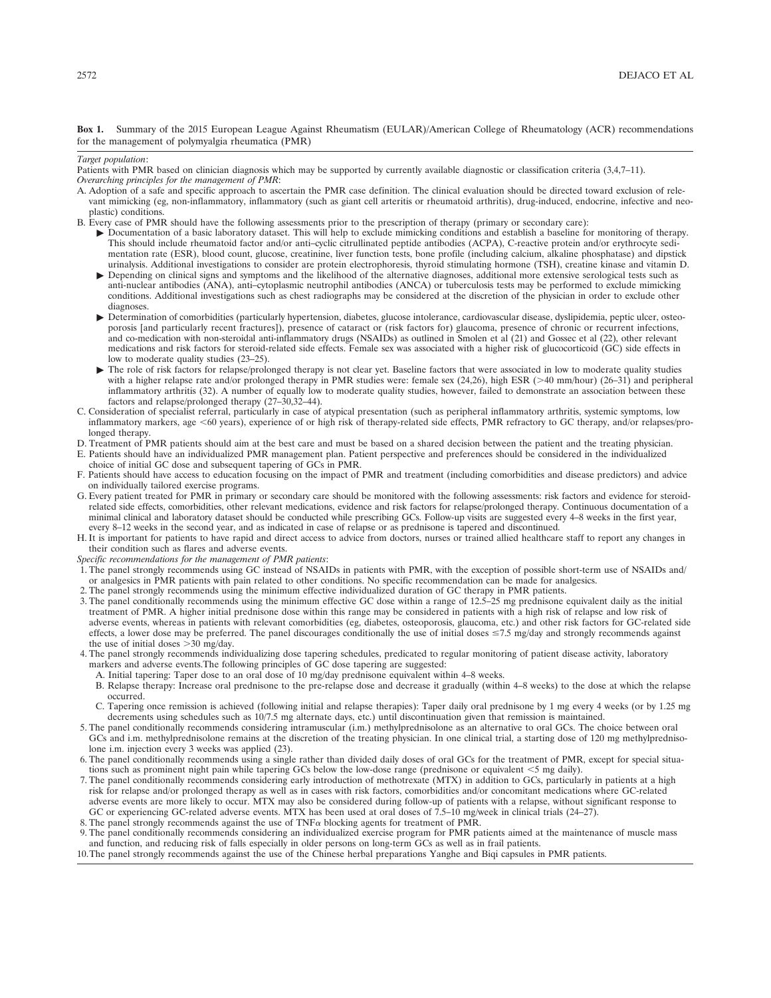Box 1. Summary of the 2015 European League Against Rheumatism (EULAR)/American College of Rheumatology (ACR) recommendations for the management of polymyalgia rheumatica (PMR)

#### Target population:

Patients with PMR based on clinician diagnosis which may be supported by currently available diagnostic or classification criteria (3,4,7–11). Overarching principles for the management of PMR:

- A. Adoption of a safe and specific approach to ascertain the PMR case definition. The clinical evaluation should be directed toward exclusion of relevant mimicking (eg, non-inflammatory, inflammatory (such as giant cell arteritis or rheumatoid arthritis), drug-induced, endocrine, infective and neoplastic) conditions.
- B. Every case of PMR should have the following assessments prior to the prescription of therapy (primary or secondary care):
	- Documentation of a basic laboratory dataset. This will help to exclude mimicking conditions and establish a baseline for monitoring of therapy. This should include rheumatoid factor and/or anti–cyclic citrullinated peptide antibodies (ACPA), C-reactive protein and/or erythrocyte sedimentation rate (ESR), blood count, glucose, creatinine, liver function tests, bone profile (including calcium, alkaline phosphatase) and dipstick urinalysis. Additional investigations to consider are protein electrophoresis, thyroid stimulating hormone (TSH), creatine kinase and vitamin D.
	- Depending on clinical signs and symptoms and the likelihood of the alternative diagnoses, additional more extensive serological tests such as anti-nuclear antibodies (ANA), anti–cytoplasmic neutrophil antibodies (ANCA) or tuberculosis tests may be performed to exclude mimicking conditions. Additional investigations such as chest radiographs may be considered at the discretion of the physician in order to exclude other diagnoses.
	- Determination of comorbidities (particularly hypertension, diabetes, glucose intolerance, cardiovascular disease, dyslipidemia, peptic ulcer, osteoporosis [and particularly recent fractures]), presence of cataract or (risk factors for) glaucoma, presence of chronic or recurrent infections, and co-medication with non-steroidal anti-inflammatory drugs (NSAIDs) as outlined in Smolen et al (21) and Gossec et al (22), other relevant medications and risk factors for steroid-related side effects. Female sex was associated with a higher risk of glucocorticoid (GC) side effects in low to moderate quality studies (23–25).
	- The role of risk factors for relapse/prolonged therapy is not clear yet. Baseline factors that were associated in low to moderate quality studies with a higher relapse rate and/or prolonged therapy in PMR studies were: female sex (24,26), high ESR (>40 mm/hour) (26-31) and peripheral inflammatory arthritis (32). A number of equally low to moderate quality studies, however, failed to demonstrate an association between these factors and relapse/prolonged therapy (27–30,32–44).
- C. Consideration of specialist referral, particularly in case of atypical presentation (such as peripheral inflammatory arthritis, systemic symptoms, low inflammatory markers, age <60 years), experience of or high risk of therapy-related side effects, PMR refractory to GC therapy, and/or relapses/prolonged therapy.
- D. Treatment of PMR patients should aim at the best care and must be based on a shared decision between the patient and the treating physician.

E. Patients should have an individualized PMR management plan. Patient perspective and preferences should be considered in the individualized choice of initial GC dose and subsequent tapering of GCs in PMR.

- F. Patients should have access to education focusing on the impact of PMR and treatment (including comorbidities and disease predictors) and advice on individually tailored exercise programs.
- G. Every patient treated for PMR in primary or secondary care should be monitored with the following assessments: risk factors and evidence for steroidrelated side effects, comorbidities, other relevant medications, evidence and risk factors for relapse/prolonged therapy. Continuous documentation of a minimal clinical and laboratory dataset should be conducted while prescribing GCs. Follow-up visits are suggested every 4–8 weeks in the first year, every 8–12 weeks in the second year, and as indicated in case of relapse or as prednisone is tapered and discontinued.
- H. It is important for patients to have rapid and direct access to advice from doctors, nurses or trained allied healthcare staff to report any changes in their condition such as flares and adverse events.
- Specific recommendations for the management of PMR patients:
- 1. The panel strongly recommends using GC instead of NSAIDs in patients with PMR, with the exception of possible short-term use of NSAIDs and/ or analgesics in PMR patients with pain related to other conditions. No specific recommendation can be made for analgesics.
- 2. The panel strongly recommends using the minimum effective individualized duration of GC therapy in PMR patients.
- 3. The panel conditionally recommends using the minimum effective GC dose within a range of 12.5–25 mg prednisone equivalent daily as the initial treatment of PMR. A higher initial prednisone dose within this range may be considered in patients with a high risk of relapse and low risk of adverse events, whereas in patients with relevant comorbidities (eg, diabetes, osteoporosis, glaucoma, etc.) and other risk factors for GC-related side effects, a lower dose may be preferred. The panel discourages conditionally the use of initial doses  $\leq 7.5$  mg/day and strongly recommends against the use of initial doses  $>30$  mg/day.
- 4. The panel strongly recommends individualizing dose tapering schedules, predicated to regular monitoring of patient disease activity, laboratory markers and adverse events.The following principles of GC dose tapering are suggested:
	- A. Initial tapering: Taper dose to an oral dose of 10 mg/day prednisone equivalent within 4–8 weeks.
	- B. Relapse therapy: Increase oral prednisone to the pre-relapse dose and decrease it gradually (within 4–8 weeks) to the dose at which the relapse occurred.
	- C. Tapering once remission is achieved (following initial and relapse therapies): Taper daily oral prednisone by 1 mg every 4 weeks (or by 1.25 mg decrements using schedules such as 10/7.5 mg alternate days, etc.) until discontinuation given that remission is maintained.
- 5. The panel conditionally recommends considering intramuscular (i.m.) methylprednisolone as an alternative to oral GCs. The choice between oral GCs and i.m. methylprednisolone remains at the discretion of the treating physician. In one clinical trial, a starting dose of 120 mg methylprednisolone i.m. injection every 3 weeks was applied (23).
- 6. The panel conditionally recommends using a single rather than divided daily doses of oral GCs for the treatment of PMR, except for special situations such as prominent night pain while tapering GCs below the low-dose range (prednisone or equivalent <5 mg daily).
- 7. The panel conditionally recommends considering early introduction of methotrexate (MTX) in addition to GCs, particularly in patients at a high risk for relapse and/or prolonged therapy as well as in cases with risk factors, comorbidities and/or concomitant medications where GC-related adverse events are more likely to occur. MTX may also be considered during follow-up of patients with a relapse, without significant response to GC or experiencing GC-related adverse events. MTX has been used at oral doses of 7.5–10 mg/week in clinical trials (24–27).
- 8. The panel strongly recommends against the use of  $TNF\alpha$  blocking agents for treatment of PMR.
- 9. The panel conditionally recommends considering an individualized exercise program for PMR patients aimed at the maintenance of muscle mass and function, and reducing risk of falls especially in older persons on long-term GCs as well as in frail patients.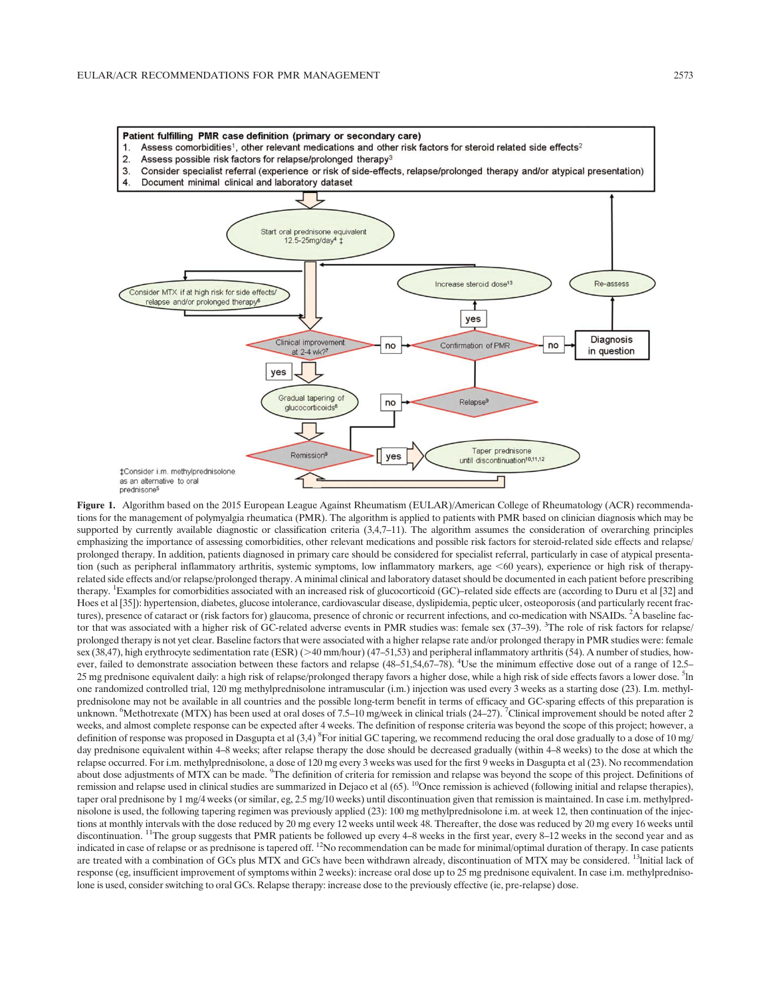

Figure 1. Algorithm based on the 2015 European League Against Rheumatism (EULAR)/American College of Rheumatology (ACR) recommendations for the management of polymyalgia rheumatica (PMR). The algorithm is applied to patients with PMR based on clinician diagnosis which may be supported by currently available diagnostic or classification criteria (3,4,7–11). The algorithm assumes the consideration of overarching principles emphasizing the importance of assessing comorbidities, other relevant medications and possible risk factors for steroid-related side effects and relapse/ prolonged therapy. In addition, patients diagnosed in primary care should be considered for specialist referral, particularly in case of atypical presentation (such as peripheral inflammatory arthritis, systemic symptoms, low inflammatory markers, age <60 years), experience or high risk of therapyrelated side effects and/or relapse/prolonged therapy. A minimal clinical and laboratory dataset should be documented in each patient before prescribing therapy. <sup>1</sup>Examples for comorbidities associated with an increased risk of glucocorticoid (GC)–related side effects are (according to Duru et al [32] and Hoes et al [35]): hypertension, diabetes, glucose intolerance, cardiovascular disease, dyslipidemia, peptic ulcer, osteoporosis (and particularly recent fractures), presence of cataract or (risk factors for) glaucoma, presence of chronic or recurrent infections, and co-medication with NSAIDs. <sup>2</sup>A baseline factor that was associated with a higher risk of GC-related adverse events in PMR studies was: female sex (37–39). <sup>3</sup>The role of risk factors for relapse/ prolonged therapy is not yet clear. Baseline factors that were associated with a higher relapse rate and/or prolonged therapy in PMR studies were: female sex (38,47), high erythrocyte sedimentation rate (ESR) (>40 mm/hour) (47-51,53) and peripheral inflammatory arthritis (54). A number of studies, however, failed to demonstrate association between these factors and relapse (48–51,54,67–78). <sup>4</sup>Use the minimum effective dose out of a range of 12.5– 25 mg prednisone equivalent daily: a high risk of relapse/prolonged therapy favors a higher dose, while a high risk of side effects favors a lower dose.  $5<sup>5</sup>$ In one randomized controlled trial, 120 mg methylprednisolone intramuscular (i.m.) injection was used every 3 weeks as a starting dose (23). I.m. methylprednisolone may not be available in all countries and the possible long-term benefit in terms of efficacy and GC-sparing effects of this preparation is unknown. <sup>6</sup>Methotrexate (MTX) has been used at oral doses of 7.5–10 mg/week in clinical trials (24–27). <sup>7</sup>Clinical improvement should be noted after 2 weeks, and almost complete response can be expected after 4 weeks. The definition of response criteria was beyond the scope of this project; however, a definition of response was proposed in Dasgupta et al  $(3.4)$  <sup>8</sup>For initial GC tapering, we recommend reducing the oral dose gradually to a dose of 10 mg/ day prednisone equivalent within 4–8 weeks; after relapse therapy the dose should be decreased gradually (within 4–8 weeks) to the dose at which the relapse occurred. For i.m. methylprednisolone, a dose of 120 mg every 3 weeks was used for the first 9 weeks in Dasgupta et al (23). No recommendation about dose adjustments of MTX can be made. <sup>9</sup>The definition of criteria for remission and relapse was beyond the scope of this project. Definitions of remission and relapse used in clinical studies are summarized in Dejaco et al (65). <sup>10</sup>Once remission is achieved (following initial and relapse therapies), taper oral prednisone by 1 mg/4 weeks (or similar, eg, 2.5 mg/10 weeks) until discontinuation given that remission is maintained. In case i.m. methylprednisolone is used, the following tapering regimen was previously applied (23): 100 mg methylprednisolone i.m. at week 12, then continuation of the injections at monthly intervals with the dose reduced by 20 mg every 12 weeks until week 48. Thereafter, the dose was reduced by 20 mg every 16 weeks until discontinuation. <sup>11</sup>The group suggests that PMR patients be followed up every 4–8 weeks in the first year, every 8–12 weeks in the second year and as indicated in case of relapse or as prednisone is tapered off. <sup>12</sup>No recommendation can be made for minimal/optimal duration of therapy. In case patients are treated with a combination of GCs plus MTX and GCs have been withdrawn already, discontinuation of MTX may be considered. <sup>13</sup>lnitial lack of response (eg, insufficient improvement of symptoms within 2 weeks): increase oral dose up to 25 mg prednisone equivalent. In case i.m. methylprednisolone is used, consider switching to oral GCs. Relapse therapy: increase dose to the previously effective (ie, pre-relapse) dose.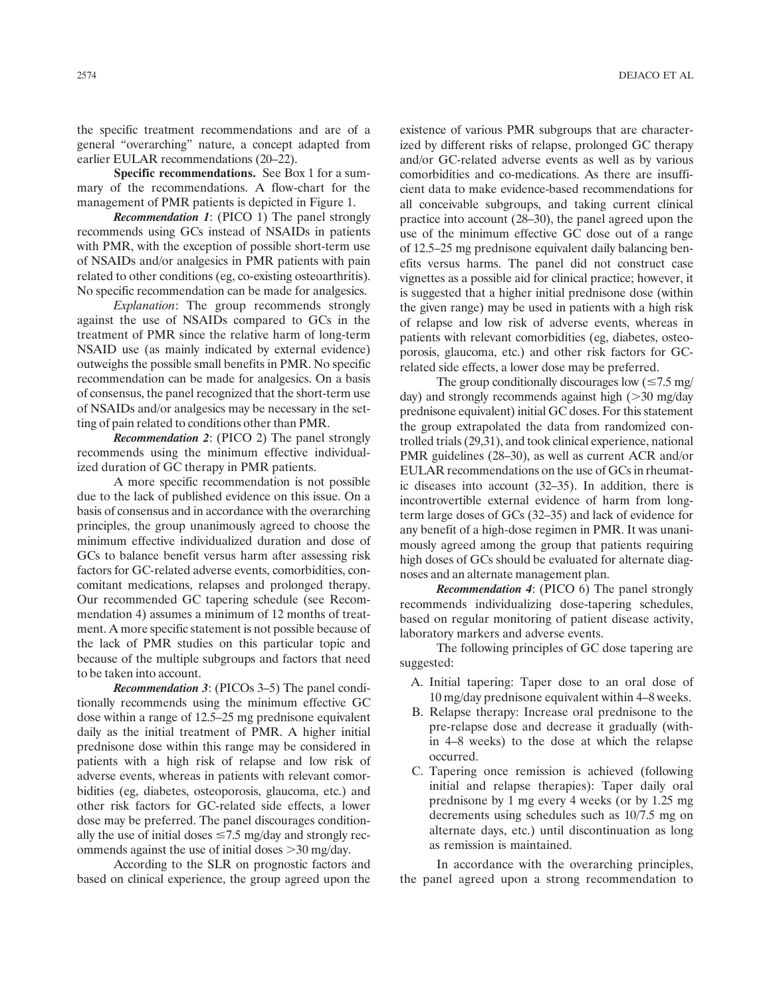the specific treatment recommendations and are of a general "overarching" nature, a concept adapted from earlier EULAR recommendations (20–22).

Specific recommendations. See Box 1 for a summary of the recommendations. A flow-chart for the management of PMR patients is depicted in Figure 1.

Recommendation 1: (PICO 1) The panel strongly recommends using GCs instead of NSAIDs in patients with PMR, with the exception of possible short-term use of NSAIDs and/or analgesics in PMR patients with pain related to other conditions (eg, co-existing osteoarthritis). No specific recommendation can be made for analgesics.

Explanation: The group recommends strongly against the use of NSAIDs compared to GCs in the treatment of PMR since the relative harm of long-term NSAID use (as mainly indicated by external evidence) outweighs the possible small benefits in PMR. No specific recommendation can be made for analgesics. On a basis of consensus, the panel recognized that the short-term use of NSAIDs and/or analgesics may be necessary in the setting of pain related to conditions other than PMR.

Recommendation 2: (PICO 2) The panel strongly recommends using the minimum effective individualized duration of GC therapy in PMR patients.

A more specific recommendation is not possible due to the lack of published evidence on this issue. On a basis of consensus and in accordance with the overarching principles, the group unanimously agreed to choose the minimum effective individualized duration and dose of GCs to balance benefit versus harm after assessing risk factors for GC-related adverse events, comorbidities, concomitant medications, relapses and prolonged therapy. Our recommended GC tapering schedule (see Recommendation 4) assumes a minimum of 12 months of treatment. A more specific statement is not possible because of the lack of PMR studies on this particular topic and because of the multiple subgroups and factors that need to be taken into account.

Recommendation 3: (PICOs 3–5) The panel conditionally recommends using the minimum effective GC dose within a range of 12.5–25 mg prednisone equivalent daily as the initial treatment of PMR. A higher initial prednisone dose within this range may be considered in patients with a high risk of relapse and low risk of adverse events, whereas in patients with relevant comorbidities (eg, diabetes, osteoporosis, glaucoma, etc.) and other risk factors for GC-related side effects, a lower dose may be preferred. The panel discourages conditionally the use of initial doses  $\leq$ 7.5 mg/day and strongly recommends against the use of initial doses  $>$ 30 mg/day.

According to the SLR on prognostic factors and based on clinical experience, the group agreed upon the

existence of various PMR subgroups that are characterized by different risks of relapse, prolonged GC therapy and/or GC-related adverse events as well as by various comorbidities and co-medications. As there are insufficient data to make evidence-based recommendations for all conceivable subgroups, and taking current clinical practice into account (28–30), the panel agreed upon the use of the minimum effective GC dose out of a range of 12.5–25 mg prednisone equivalent daily balancing benefits versus harms. The panel did not construct case vignettes as a possible aid for clinical practice; however, it is suggested that a higher initial prednisone dose (within the given range) may be used in patients with a high risk of relapse and low risk of adverse events, whereas in patients with relevant comorbidities (eg, diabetes, osteoporosis, glaucoma, etc.) and other risk factors for GCrelated side effects, a lower dose may be preferred.

The group conditionally discourages low  $(\leq 7.5 \text{ mg}/$ day) and strongly recommends against high  $(>30 \text{ mg/day})$ prednisone equivalent) initial GC doses. For this statement the group extrapolated the data from randomized controlled trials (29,31), and took clinical experience, national PMR guidelines (28–30), as well as current ACR and/or EULAR recommendations on the use of GCs in rheumatic diseases into account (32–35). In addition, there is incontrovertible external evidence of harm from longterm large doses of GCs (32–35) and lack of evidence for any benefit of a high-dose regimen in PMR. It was unanimously agreed among the group that patients requiring high doses of GCs should be evaluated for alternate diagnoses and an alternate management plan.

Recommendation 4: (PICO 6) The panel strongly recommends individualizing dose-tapering schedules, based on regular monitoring of patient disease activity, laboratory markers and adverse events.

The following principles of GC dose tapering are suggested:

- A. Initial tapering: Taper dose to an oral dose of 10 mg/day prednisone equivalent within 4–8 weeks.
- B. Relapse therapy: Increase oral prednisone to the pre-relapse dose and decrease it gradually (within 4–8 weeks) to the dose at which the relapse occurred.
- C. Tapering once remission is achieved (following initial and relapse therapies): Taper daily oral prednisone by 1 mg every 4 weeks (or by 1.25 mg decrements using schedules such as 10/7.5 mg on alternate days, etc.) until discontinuation as long as remission is maintained.

In accordance with the overarching principles, the panel agreed upon a strong recommendation to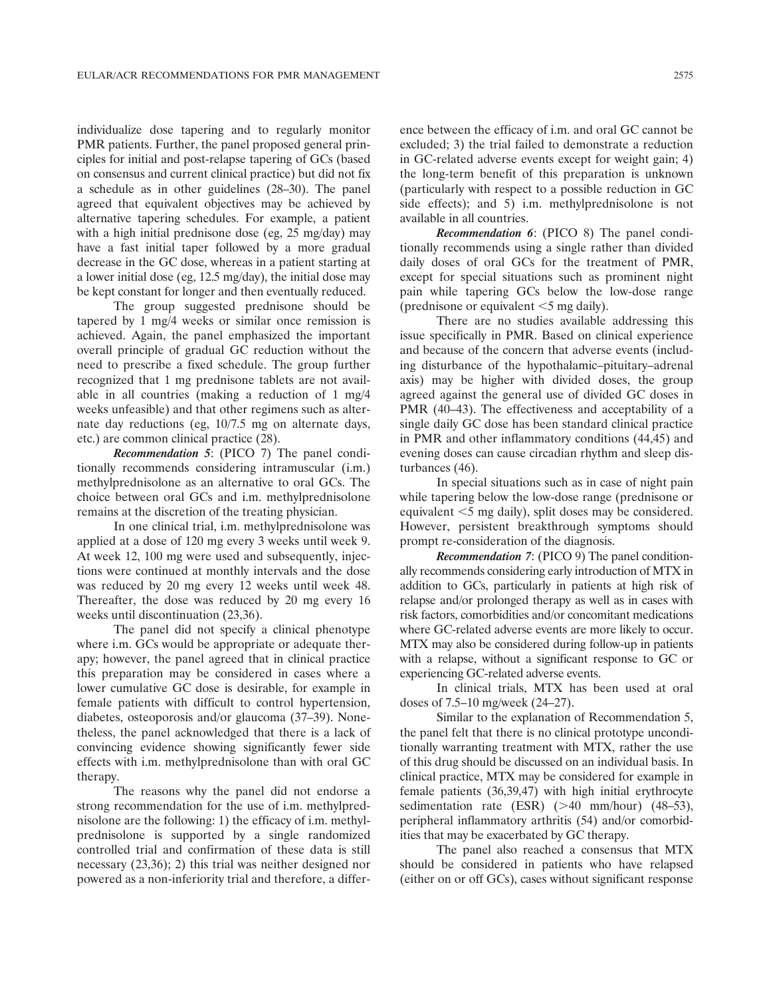individualize dose tapering and to regularly monitor PMR patients. Further, the panel proposed general principles for initial and post-relapse tapering of GCs (based on consensus and current clinical practice) but did not fix a schedule as in other guidelines (28–30). The panel agreed that equivalent objectives may be achieved by alternative tapering schedules. For example, a patient with a high initial prednisone dose (eg, 25 mg/day) may have a fast initial taper followed by a more gradual decrease in the GC dose, whereas in a patient starting at a lower initial dose (eg, 12.5 mg/day), the initial dose may be kept constant for longer and then eventually reduced.

The group suggested prednisone should be tapered by 1 mg/4 weeks or similar once remission is achieved. Again, the panel emphasized the important overall principle of gradual GC reduction without the need to prescribe a fixed schedule. The group further recognized that 1 mg prednisone tablets are not available in all countries (making a reduction of 1 mg/4 weeks unfeasible) and that other regimens such as alternate day reductions (eg, 10/7.5 mg on alternate days, etc.) are common clinical practice (28).

Recommendation 5: (PICO 7) The panel conditionally recommends considering intramuscular (i.m.) methylprednisolone as an alternative to oral GCs. The choice between oral GCs and i.m. methylprednisolone remains at the discretion of the treating physician.

In one clinical trial, i.m. methylprednisolone was applied at a dose of 120 mg every 3 weeks until week 9. At week 12, 100 mg were used and subsequently, injections were continued at monthly intervals and the dose was reduced by 20 mg every 12 weeks until week 48. Thereafter, the dose was reduced by 20 mg every 16 weeks until discontinuation (23,36).

The panel did not specify a clinical phenotype where i.m. GCs would be appropriate or adequate therapy; however, the panel agreed that in clinical practice this preparation may be considered in cases where a lower cumulative GC dose is desirable, for example in female patients with difficult to control hypertension, diabetes, osteoporosis and/or glaucoma (37–39). Nonetheless, the panel acknowledged that there is a lack of convincing evidence showing significantly fewer side effects with i.m. methylprednisolone than with oral GC therapy.

The reasons why the panel did not endorse a strong recommendation for the use of i.m. methylprednisolone are the following: 1) the efficacy of i.m. methylprednisolone is supported by a single randomized controlled trial and confirmation of these data is still necessary (23,36); 2) this trial was neither designed nor powered as a non-inferiority trial and therefore, a difference between the efficacy of i.m. and oral GC cannot be excluded; 3) the trial failed to demonstrate a reduction in GC-related adverse events except for weight gain; 4) the long-term benefit of this preparation is unknown (particularly with respect to a possible reduction in GC side effects); and 5) i.m. methylprednisolone is not available in all countries.

Recommendation 6: (PICO 8) The panel conditionally recommends using a single rather than divided daily doses of oral GCs for the treatment of PMR, except for special situations such as prominent night pain while tapering GCs below the low-dose range (prednisone or equivalent  $\leq$ 5 mg daily).

There are no studies available addressing this issue specifically in PMR. Based on clinical experience and because of the concern that adverse events (including disturbance of the hypothalamic–pituitary–adrenal axis) may be higher with divided doses, the group agreed against the general use of divided GC doses in PMR (40–43). The effectiveness and acceptability of a single daily GC dose has been standard clinical practice in PMR and other inflammatory conditions (44,45) and evening doses can cause circadian rhythm and sleep disturbances (46).

In special situations such as in case of night pain while tapering below the low-dose range (prednisone or equivalent  $\leq$ 5 mg daily), split doses may be considered. However, persistent breakthrough symptoms should prompt re-consideration of the diagnosis.

Recommendation 7: (PICO 9) The panel conditionally recommends considering early introduction of MTX in addition to GCs, particularly in patients at high risk of relapse and/or prolonged therapy as well as in cases with risk factors, comorbidities and/or concomitant medications where GC-related adverse events are more likely to occur. MTX may also be considered during follow-up in patients with a relapse, without a significant response to GC or experiencing GC-related adverse events.

In clinical trials, MTX has been used at oral doses of 7.5–10 mg/week (24–27).

Similar to the explanation of Recommendation 5, the panel felt that there is no clinical prototype unconditionally warranting treatment with MTX, rather the use of this drug should be discussed on an individual basis. In clinical practice, MTX may be considered for example in female patients (36,39,47) with high initial erythrocyte sedimentation rate (ESR)  $($ >40 mm/hour) (48–53), peripheral inflammatory arthritis (54) and/or comorbidities that may be exacerbated by GC therapy.

The panel also reached a consensus that MTX should be considered in patients who have relapsed (either on or off GCs), cases without significant response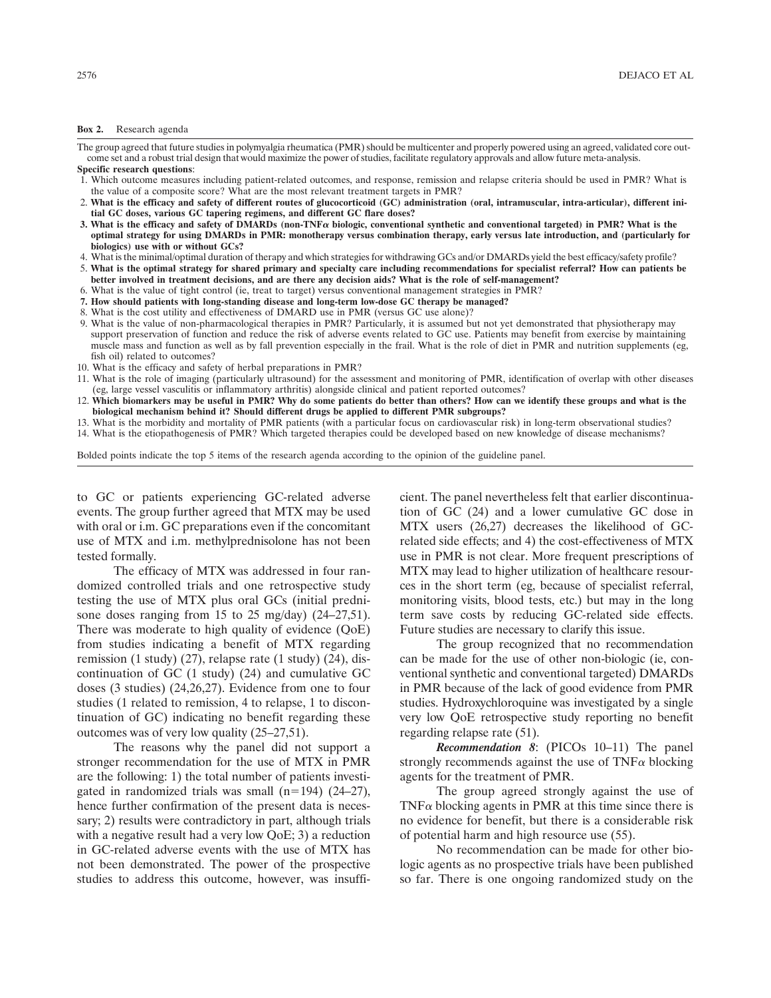#### Box 2. Research agenda

The group agreed that future studies in polymyalgia rheumatica (PMR) should be multicenter and properly powered using an agreed, validated core outcome set and a robust trial design that would maximize the power of studies, facilitate regulatory approvals and allow future meta-analysis. Specific research questions:

- 1. Which outcome measures including patient-related outcomes, and response, remission and relapse criteria should be used in PMR? What is the value of a composite score? What are the most relevant treatment targets in PMR?
- 2. What is the efficacy and safety of different routes of glucocorticoid (GC) administration (oral, intramuscular, intra-articular), different initial GC doses, various GC tapering regimens, and different GC flare doses?
- 3. What is the efficacy and safety of DMARDs (non-TNF<sup>a</sup> biologic, conventional synthetic and conventional targeted) in PMR? What is the optimal strategy for using DMARDs in PMR: monotherapy versus combination therapy, early versus late introduction, and (particularly for biologics) use with or without GCs?
- 4. What is the minimal/optimal duration of therapy and which strategies for withdrawing GCs and/or DMARDs yield the best efficacy/safety profile?
- 5. What is the optimal strategy for shared primary and specialty care including recommendations for specialist referral? How can patients be better involved in treatment decisions, and are there any decision aids? What is the role of self-management?
- 6. What is the value of tight control (ie, treat to target) versus conventional management strategies in PMR?
- 7. How should patients with long-standing disease and long-term low-dose GC therapy be managed?
- 8. What is the cost utility and effectiveness of DMARD use in PMR (versus GC use alone)?
- 9. What is the value of non-pharmacological therapies in PMR? Particularly, it is assumed but not yet demonstrated that physiotherapy may support preservation of function and reduce the risk of adverse events related to GC use. Patients may benefit from exercise by maintaining muscle mass and function as well as by fall prevention especially in the frail. What is the role of diet in PMR and nutrition supplements (eg, fish oil) related to outcomes?
- 10. What is the efficacy and safety of herbal preparations in PMR?
- 11. What is the role of imaging (particularly ultrasound) for the assessment and monitoring of PMR, identification of overlap with other diseases (eg, large vessel vasculitis or inflammatory arthritis) alongside clinical and patient reported outcomes?
- 12. Which biomarkers may be useful in PMR? Why do some patients do better than others? How can we identify these groups and what is the biological mechanism behind it? Should different drugs be applied to different PMR subgroups?
- 13. What is the morbidity and mortality of PMR patients (with a particular focus on cardiovascular risk) in long-term observational studies?
- 14. What is the etiopathogenesis of PMR? Which targeted therapies could be developed based on new knowledge of disease mechanisms?

Bolded points indicate the top 5 items of the research agenda according to the opinion of the guideline panel.

to GC or patients experiencing GC-related adverse events. The group further agreed that MTX may be used with oral or i.m. GC preparations even if the concomitant use of MTX and i.m. methylprednisolone has not been tested formally.

The efficacy of MTX was addressed in four randomized controlled trials and one retrospective study testing the use of MTX plus oral GCs (initial prednisone doses ranging from 15 to 25 mg/day) (24–27,51). There was moderate to high quality of evidence (QoE) from studies indicating a benefit of MTX regarding remission (1 study) (27), relapse rate (1 study) (24), discontinuation of GC (1 study) (24) and cumulative GC doses (3 studies) (24,26,27). Evidence from one to four studies (1 related to remission, 4 to relapse, 1 to discontinuation of GC) indicating no benefit regarding these outcomes was of very low quality (25–27,51).

The reasons why the panel did not support a stronger recommendation for the use of MTX in PMR are the following: 1) the total number of patients investigated in randomized trials was small  $(n=194)$  (24–27), hence further confirmation of the present data is necessary; 2) results were contradictory in part, although trials with a negative result had a very low QoE; 3) a reduction in GC-related adverse events with the use of MTX has not been demonstrated. The power of the prospective studies to address this outcome, however, was insufficient. The panel nevertheless felt that earlier discontinuation of GC (24) and a lower cumulative GC dose in MTX users (26,27) decreases the likelihood of GCrelated side effects; and 4) the cost-effectiveness of MTX use in PMR is not clear. More frequent prescriptions of MTX may lead to higher utilization of healthcare resources in the short term (eg, because of specialist referral, monitoring visits, blood tests, etc.) but may in the long term save costs by reducing GC-related side effects. Future studies are necessary to clarify this issue.

The group recognized that no recommendation can be made for the use of other non-biologic (ie, conventional synthetic and conventional targeted) DMARDs in PMR because of the lack of good evidence from PMR studies. Hydroxychloroquine was investigated by a single very low QoE retrospective study reporting no benefit regarding relapse rate (51).

Recommendation 8: (PICOs 10-11) The panel strongly recommends against the use of  $TNF\alpha$  blocking agents for the treatment of PMR.

The group agreed strongly against the use of TNF $\alpha$  blocking agents in PMR at this time since there is no evidence for benefit, but there is a considerable risk of potential harm and high resource use (55).

No recommendation can be made for other biologic agents as no prospective trials have been published so far. There is one ongoing randomized study on the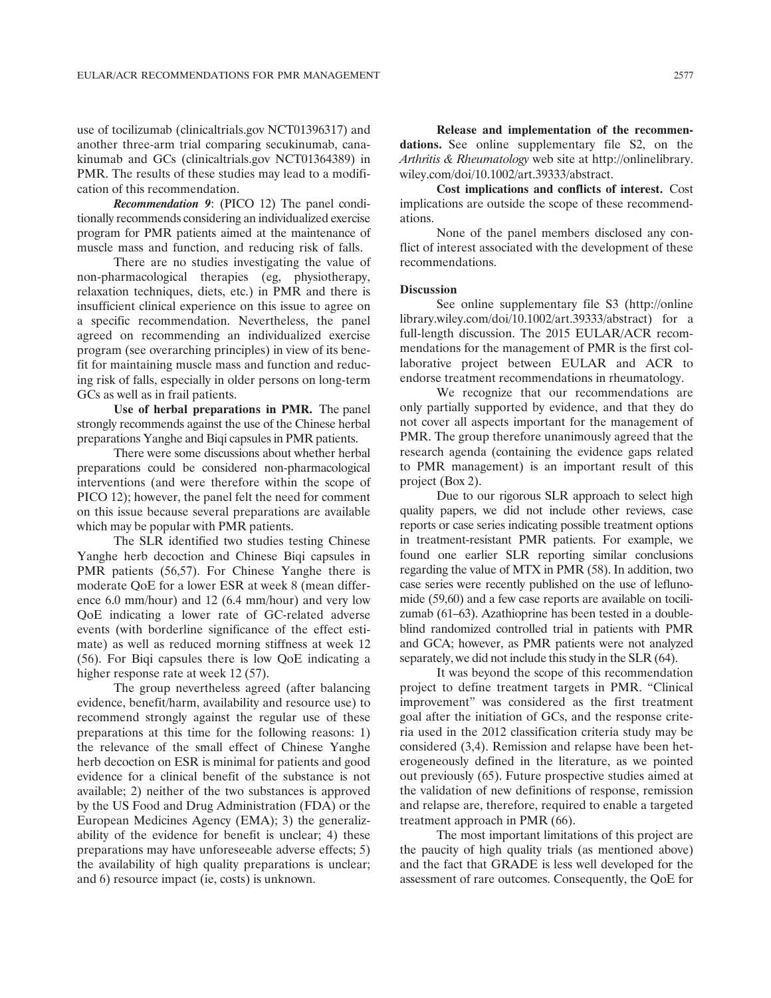use of tocilizumab (clinicaltrials.gov NCT01396317) and another three-arm trial comparing secukinumab, canakinumab and GCs (clinicaltrials.gov NCT01364389) in PMR. The results of these studies may lead to a modification of this recommendation.

Recommendation 9: (PICO 12) The panel conditionally recommends considering an individualized exercise program for PMR patients aimed at the maintenance of muscle mass and function, and reducing risk of falls.

There are no studies investigating the value of non-pharmacological therapies (eg, physiotherapy, relaxation techniques, diets, etc.) in PMR and there is insufficient clinical experience on this issue to agree on a specific recommendation. Nevertheless, the panel agreed on recommending an individualized exercise program (see overarching principles) in view of its benefit for maintaining muscle mass and function and reducing risk of falls, especially in older persons on long-term GCs as well as in frail patients.

Use of herbal preparations in PMR. The panel strongly recommends against the use of the Chinese herbal preparations Yanghe and Biqi capsules in PMR patients.

There were some discussions about whether herbal preparations could be considered non-pharmacological interventions (and were therefore within the scope of PICO 12); however, the panel felt the need for comment on this issue because several preparations are available which may be popular with PMR patients.

The SLR identified two studies testing Chinese Yanghe herb decoction and Chinese Biqi capsules in PMR patients (56,57). For Chinese Yanghe there is moderate QoE for a lower ESR at week 8 (mean difference 6.0 mm/hour) and 12 (6.4 mm/hour) and very low QoE indicating a lower rate of GC-related adverse events (with borderline significance of the effect estimate) as well as reduced morning stiffness at week 12 (56). For Biqi capsules there is low QoE indicating a higher response rate at week 12 (57).

The group nevertheless agreed (after balancing evidence, benefit/harm, availability and resource use) to recommend strongly against the regular use of these preparations at this time for the following reasons: 1) the relevance of the small effect of Chinese Yanghe herb decoction on ESR is minimal for patients and good evidence for a clinical benefit of the substance is not available; 2) neither of the two substances is approved by the US Food and Drug Administration (FDA) or the European Medicines Agency (EMA); 3) the generalizability of the evidence for benefit is unclear; 4) these preparations may have unforeseeable adverse effects; 5) the availability of high quality preparations is unclear; and 6) resource impact (ie, costs) is unknown.

Release and implementation of the recommendations. See online supplementary file S2, on the Arthritis & Rheumatology web site at http://onlinelibrary. wiley.com/doi/10.1002/art.39333/abstract.

Cost implications and conflicts of interest. Cost implications are outside the scope of these recommendations.

None of the panel members disclosed any conflict of interest associated with the development of these recommendations.

# **Discussion**

See online supplementary file S3 (http://online library.wiley.com/doi/10.1002/art.39333/abstract) for a full-length discussion. The 2015 EULAR/ACR recommendations for the management of PMR is the first collaborative project between EULAR and ACR to endorse treatment recommendations in rheumatology.

We recognize that our recommendations are only partially supported by evidence, and that they do not cover all aspects important for the management of PMR. The group therefore unanimously agreed that the research agenda (containing the evidence gaps related to PMR management) is an important result of this project (Box 2).

Due to our rigorous SLR approach to select high quality papers, we did not include other reviews, case reports or case series indicating possible treatment options in treatment-resistant PMR patients. For example, we found one earlier SLR reporting similar conclusions regarding the value of MTX in PMR (58). In addition, two case series were recently published on the use of leflunomide (59,60) and a few case reports are available on tocilizumab (61–63). Azathioprine has been tested in a doubleblind randomized controlled trial in patients with PMR and GCA; however, as PMR patients were not analyzed separately, we did not include this study in the SLR (64).

It was beyond the scope of this recommendation project to define treatment targets in PMR. "Clinical improvement" was considered as the first treatment goal after the initiation of GCs, and the response criteria used in the 2012 classification criteria study may be considered (3,4). Remission and relapse have been heterogeneously defined in the literature, as we pointed out previously (65). Future prospective studies aimed at the validation of new definitions of response, remission and relapse are, therefore, required to enable a targeted treatment approach in PMR (66).

The most important limitations of this project are the paucity of high quality trials (as mentioned above) and the fact that GRADE is less well developed for the assessment of rare outcomes. Consequently, the QoE for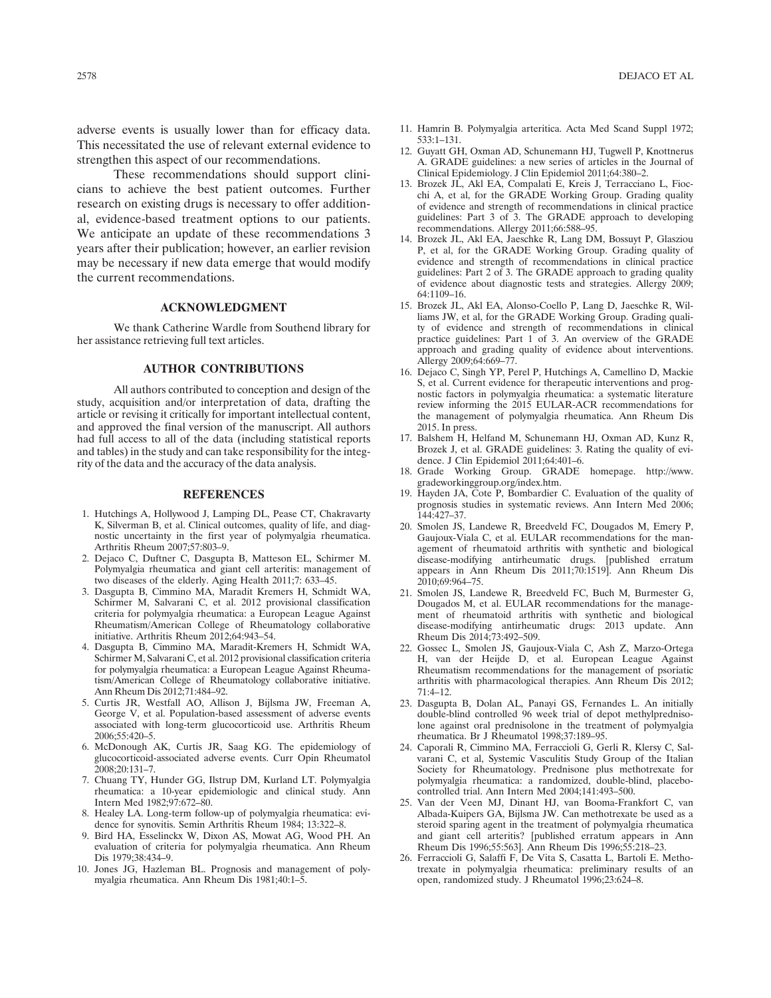adverse events is usually lower than for efficacy data. This necessitated the use of relevant external evidence to strengthen this aspect of our recommendations.

These recommendations should support clinicians to achieve the best patient outcomes. Further research on existing drugs is necessary to offer additional, evidence-based treatment options to our patients. We anticipate an update of these recommendations 3 years after their publication; however, an earlier revision may be necessary if new data emerge that would modify the current recommendations.

# ACKNOWLEDGMENT

We thank Catherine Wardle from Southend library for her assistance retrieving full text articles.

## AUTHOR CONTRIBUTIONS

All authors contributed to conception and design of the study, acquisition and/or interpretation of data, drafting the article or revising it critically for important intellectual content, and approved the final version of the manuscript. All authors had full access to all of the data (including statistical reports and tables) in the study and can take responsibility for the integrity of the data and the accuracy of the data analysis.

#### REFERENCES

- 1. Hutchings A, Hollywood J, Lamping DL, Pease CT, Chakravarty K, Silverman B, et al. Clinical outcomes, quality of life, and diagnostic uncertainty in the first year of polymyalgia rheumatica. Arthritis Rheum 2007;57:803–9.
- 2. Dejaco C, Duftner C, Dasgupta B, Matteson EL, Schirmer M. Polymyalgia rheumatica and giant cell arteritis: management of two diseases of the elderly. Aging Health 2011;7: 633–45.
- 3. Dasgupta B, Cimmino MA, Maradit Kremers H, Schmidt WA, Schirmer M, Salvarani C, et al. 2012 provisional classification criteria for polymyalgia rheumatica: a European League Against Rheumatism/American College of Rheumatology collaborative initiative. Arthritis Rheum 2012;64:943–54.
- 4. Dasgupta B, Cimmino MA, Maradit-Kremers H, Schmidt WA, Schirmer M, Salvarani C, et al. 2012 provisional classification criteria for polymyalgia rheumatica: a European League Against Rheumatism/American College of Rheumatology collaborative initiative. Ann Rheum Dis 2012;71:484–92.
- 5. Curtis JR, Westfall AO, Allison J, Bijlsma JW, Freeman A, George V, et al. Population-based assessment of adverse events associated with long-term glucocorticoid use. Arthritis Rheum 2006;55:420–5.
- 6. McDonough AK, Curtis JR, Saag KG. The epidemiology of glucocorticoid-associated adverse events. Curr Opin Rheumatol 2008;20:131–7.
- 7. Chuang TY, Hunder GG, Ilstrup DM, Kurland LT. Polymyalgia rheumatica: a 10-year epidemiologic and clinical study. Ann Intern Med 1982;97:672–80.
- 8. Healey LA. Long-term follow-up of polymyalgia rheumatica: evidence for synovitis. Semin Arthritis Rheum 1984; 13:322–8.
- 9. Bird HA, Esselinckx W, Dixon AS, Mowat AG, Wood PH. An evaluation of criteria for polymyalgia rheumatica. Ann Rheum Dis 1979;38:434–9.
- 10. Jones JG, Hazleman BL. Prognosis and management of polymyalgia rheumatica. Ann Rheum Dis 1981;40:1–5.
- 11. Hamrin B. Polymyalgia arteritica. Acta Med Scand Suppl 1972; 533:1–131.
- 12. Guyatt GH, Oxman AD, Schunemann HJ, Tugwell P, Knottnerus A. GRADE guidelines: a new series of articles in the Journal of Clinical Epidemiology. J Clin Epidemiol 2011;64:380–2.
- 13. Brozek JL, Akl EA, Compalati E, Kreis J, Terracciano L, Fiocchi A, et al, for the GRADE Working Group. Grading quality of evidence and strength of recommendations in clinical practice guidelines: Part 3 of 3. The GRADE approach to developing recommendations. Allergy 2011;66:588–95.
- 14. Brozek JL, Akl EA, Jaeschke R, Lang DM, Bossuyt P, Glasziou P, et al, for the GRADE Working Group. Grading quality of evidence and strength of recommendations in clinical practice guidelines: Part 2 of 3. The GRADE approach to grading quality of evidence about diagnostic tests and strategies. Allergy 2009; 64:1109–16.
- 15. Brozek JL, Akl EA, Alonso-Coello P, Lang D, Jaeschke R, Williams JW, et al, for the GRADE Working Group. Grading quality of evidence and strength of recommendations in clinical practice guidelines: Part 1 of 3. An overview of the GRADE approach and grading quality of evidence about interventions. Allergy 2009;64:669–77.
- 16. Dejaco C, Singh YP, Perel P, Hutchings A, Camellino D, Mackie S, et al. Current evidence for therapeutic interventions and prognostic factors in polymyalgia rheumatica: a systematic literature review informing the 2015 EULAR-ACR recommendations for the management of polymyalgia rheumatica. Ann Rheum Dis 2015. In press.
- 17. Balshem H, Helfand M, Schunemann HJ, Oxman AD, Kunz R, Brozek J, et al. GRADE guidelines: 3. Rating the quality of evidence. J Clin Epidemiol 2011;64:401–6.
- 18. Grade Working Group. GRADE homepage. http://www. gradeworkinggroup.org/index.htm.
- 19. Hayden JA, Cote P, Bombardier C. Evaluation of the quality of prognosis studies in systematic reviews. Ann Intern Med 2006; 144:427–37.
- 20. Smolen JS, Landewe R, Breedveld FC, Dougados M, Emery P, Gaujoux-Viala C, et al. EULAR recommendations for the management of rheumatoid arthritis with synthetic and biological disease-modifying antirheumatic drugs. [published erratum appears in Ann Rheum Dis 2011;70:1519]. Ann Rheum Dis 2010;69:964–75.
- 21. Smolen JS, Landewe R, Breedveld FC, Buch M, Burmester G, Dougados M, et al. EULAR recommendations for the management of rheumatoid arthritis with synthetic and biological disease-modifying antirheumatic drugs: 2013 update. Ann Rheum Dis 2014;73:492–509.
- 22. Gossec L, Smolen JS, Gaujoux-Viala C, Ash Z, Marzo-Ortega H, van der Heijde D, et al. European League Against Rheumatism recommendations for the management of psoriatic arthritis with pharmacological therapies. Ann Rheum Dis 2012; 71:4–12.
- 23. Dasgupta B, Dolan AL, Panayi GS, Fernandes L. An initially double-blind controlled 96 week trial of depot methylprednisolone against oral prednisolone in the treatment of polymyalgia rheumatica. Br J Rheumatol 1998;37:189–95.
- 24. Caporali R, Cimmino MA, Ferraccioli G, Gerli R, Klersy C, Salvarani C, et al, Systemic Vasculitis Study Group of the Italian Society for Rheumatology. Prednisone plus methotrexate for polymyalgia rheumatica: a randomized, double-blind, placebocontrolled trial. Ann Intern Med 2004;141:493–500.
- 25. Van der Veen MJ, Dinant HJ, van Booma-Frankfort C, van Albada-Kuipers GA, Bijlsma JW. Can methotrexate be used as a steroid sparing agent in the treatment of polymyalgia rheumatica and giant cell arteritis? [published erratum appears in Ann Rheum Dis 1996;55:563]. Ann Rheum Dis 1996;55:218–23.
- 26. Ferraccioli G, Salaffi F, De Vita S, Casatta L, Bartoli E. Methotrexate in polymyalgia rheumatica: preliminary results of an open, randomized study. J Rheumatol 1996;23:624–8.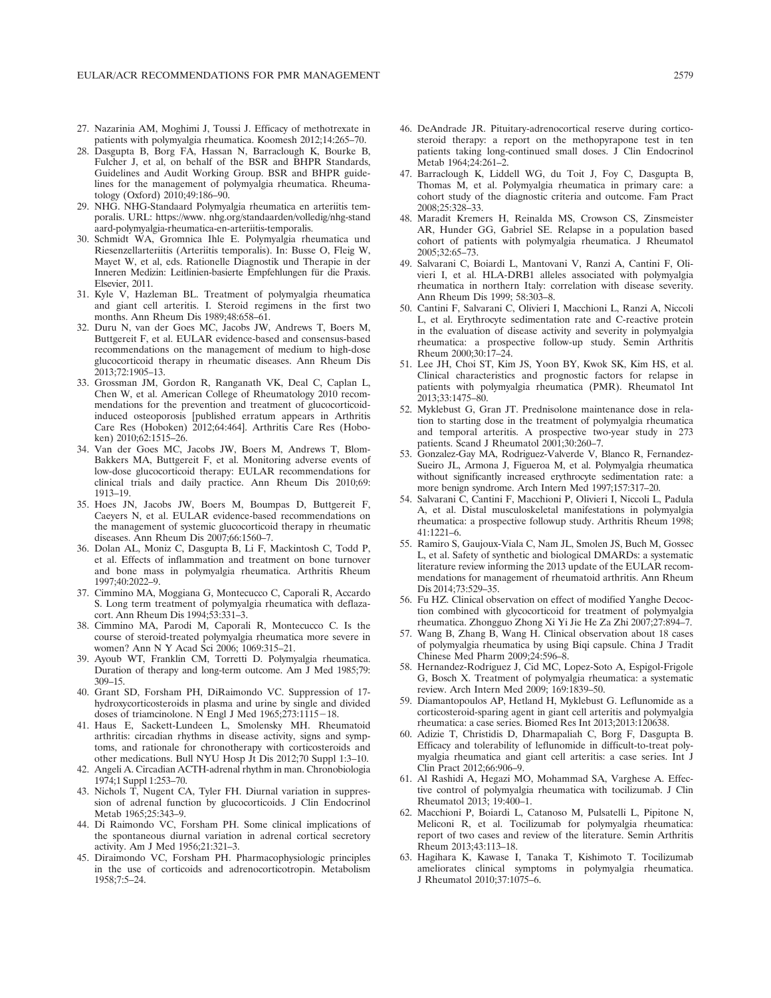- 27. Nazarinia AM, Moghimi J, Toussi J. Efficacy of methotrexate in patients with polymyalgia rheumatica. Koomesh 2012;14:265–70.
- 28. Dasgupta B, Borg FA, Hassan N, Barraclough K, Bourke B, Fulcher J, et al, on behalf of the BSR and BHPR Standards, Guidelines and Audit Working Group. BSR and BHPR guidelines for the management of polymyalgia rheumatica. Rheumatology (Oxford) 2010;49:186–90.
- 29. NHG. NHG-Standaard Polymyalgia rheumatica en arteriitis temporalis. URL: https://www. nhg.org/standaarden/volledig/nhg-stand aard-polymyalgia-rheumatica-en-arteriitis-temporalis.
- 30. Schmidt WA, Gromnica Ihle E. Polymyalgia rheumatica und Riesenzellarteriitis (Arteriitis temporalis). In: Busse O, Fleig W, Mayet W, et al, eds. Rationelle Diagnostik und Therapie in der Inneren Medizin: Leitlinien-basierte Empfehlungen für die Praxis. Elsevier, 2011.
- 31. Kyle V, Hazleman BL. Treatment of polymyalgia rheumatica and giant cell arteritis. I. Steroid regimens in the first two months. Ann Rheum Dis 1989;48:658–61.
- 32. Duru N, van der Goes MC, Jacobs JW, Andrews T, Boers M, Buttgereit F, et al. EULAR evidence-based and consensus-based recommendations on the management of medium to high-dose glucocorticoid therapy in rheumatic diseases. Ann Rheum Dis 2013;72:1905–13.
- 33. Grossman JM, Gordon R, Ranganath VK, Deal C, Caplan L, Chen W, et al. American College of Rheumatology 2010 recommendations for the prevention and treatment of glucocorticoidinduced osteoporosis [published erratum appears in Arthritis Care Res (Hoboken) 2012;64:464]. Arthritis Care Res (Hoboken) 2010;62:1515–26.
- 34. Van der Goes MC, Jacobs JW, Boers M, Andrews T, Blom-Bakkers MA, Buttgereit F, et al. Monitoring adverse events of low-dose glucocorticoid therapy: EULAR recommendations for clinical trials and daily practice. Ann Rheum Dis 2010;69: 1913–19.
- 35. Hoes JN, Jacobs JW, Boers M, Boumpas D, Buttgereit F, Caeyers N, et al. EULAR evidence-based recommendations on the management of systemic glucocorticoid therapy in rheumatic diseases. Ann Rheum Dis 2007;66:1560–7.
- 36. Dolan AL, Moniz C, Dasgupta B, Li F, Mackintosh C, Todd P, et al. Effects of inflammation and treatment on bone turnover and bone mass in polymyalgia rheumatica. Arthritis Rheum 1997;40:2022–9.
- 37. Cimmino MA, Moggiana G, Montecucco C, Caporali R, Accardo S. Long term treatment of polymyalgia rheumatica with deflazacort. Ann Rheum Dis 1994;53:331–3.
- 38. Cimmino MA, Parodi M, Caporali R, Montecucco C. Is the course of steroid-treated polymyalgia rheumatica more severe in women? Ann N Y Acad Sci 2006; 1069:315–21.
- 39. Ayoub WT, Franklin CM, Torretti D. Polymyalgia rheumatica. Duration of therapy and long-term outcome. Am J Med 1985;79: 309–15.
- 40. Grant SD, Forsham PH, DiRaimondo VC. Suppression of 17 hydroxycorticosteroids in plasma and urine by single and divided doses of triamcinolone. N Engl J Med  $1965;273:1115-18$ .
- 41. Haus E, Sackett-Lundeen L, Smolensky MH. Rheumatoid arthritis: circadian rhythms in disease activity, signs and symptoms, and rationale for chronotherapy with corticosteroids and other medications. Bull NYU Hosp Jt Dis 2012;70 Suppl 1:3–10.
- 42. Angeli A. Circadian ACTH-adrenal rhythm in man. Chronobiologia 1974;1 Suppl 1:253–70.
- 43. Nichols T, Nugent CA, Tyler FH. Diurnal variation in suppression of adrenal function by glucocorticoids. J Clin Endocrinol Metab 1965;25:343–9.
- 44. Di Raimondo VC, Forsham PH. Some clinical implications of the spontaneous diurnal variation in adrenal cortical secretory activity. Am J Med 1956;21:321–3.
- 45. Diraimondo VC, Forsham PH. Pharmacophysiologic principles in the use of corticoids and adrenocorticotropin. Metabolism 1958;7:5–24.
- 46. DeAndrade JR. Pituitary-adrenocortical reserve during corticosteroid therapy: a report on the methopyrapone test in ten patients taking long-continued small doses. J Clin Endocrinol Metab 1964;24:261–2.
- 47. Barraclough K, Liddell WG, du Toit J, Foy C, Dasgupta B, Thomas M, et al. Polymyalgia rheumatica in primary care: a cohort study of the diagnostic criteria and outcome. Fam Pract 2008;25:328–33.
- 48. Maradit Kremers H, Reinalda MS, Crowson CS, Zinsmeister AR, Hunder GG, Gabriel SE. Relapse in a population based cohort of patients with polymyalgia rheumatica. J Rheumatol 2005;32:65–73.
- 49. Salvarani C, Boiardi L, Mantovani V, Ranzi A, Cantini F, Olivieri I, et al. HLA-DRB1 alleles associated with polymyalgia rheumatica in northern Italy: correlation with disease severity. Ann Rheum Dis 1999; 58:303–8.
- 50. Cantini F, Salvarani C, Olivieri I, Macchioni L, Ranzi A, Niccoli L, et al. Erythrocyte sedimentation rate and C-reactive protein in the evaluation of disease activity and severity in polymyalgia rheumatica: a prospective follow-up study. Semin Arthritis Rheum 2000;30:17–24.
- 51. Lee JH, Choi ST, Kim JS, Yoon BY, Kwok SK, Kim HS, et al. Clinical characteristics and prognostic factors for relapse in patients with polymyalgia rheumatica (PMR). Rheumatol Int 2013;33:1475–80.
- 52. Myklebust G, Gran JT. Prednisolone maintenance dose in relation to starting dose in the treatment of polymyalgia rheumatica and temporal arteritis. A prospective two-year study in 273 patients. Scand J Rheumatol 2001;30:260–7.
- 53. Gonzalez-Gay MA, Rodriguez-Valverde V, Blanco R, Fernandez-Sueiro JL, Armona J, Figueroa M, et al. Polymyalgia rheumatica without significantly increased erythrocyte sedimentation rate: a more benign syndrome. Arch Intern Med 1997;157:317–20.
- 54. Salvarani C, Cantini F, Macchioni P, Olivieri I, Niccoli L, Padula A, et al. Distal musculoskeletal manifestations in polymyalgia rheumatica: a prospective followup study. Arthritis Rheum 1998; 41:1221–6.
- 55. Ramiro S, Gaujoux-Viala C, Nam JL, Smolen JS, Buch M, Gossec L, et al. Safety of synthetic and biological DMARDs: a systematic literature review informing the 2013 update of the EULAR recommendations for management of rheumatoid arthritis. Ann Rheum Dis 2014;73:529–35.
- 56. Fu HZ. Clinical observation on effect of modified Yanghe Decoction combined with glycocorticoid for treatment of polymyalgia rheumatica. Zhongguo Zhong Xi Yi Jie He Za Zhi 2007;27:894–7.
- 57. Wang B, Zhang B, Wang H. Clinical observation about 18 cases of polymyalgia rheumatica by using Biqi capsule. China J Tradit Chinese Med Pharm 2009;24:596–8.
- 58. Hernandez-Rodriguez J, Cid MC, Lopez-Soto A, Espigol-Frigole G, Bosch X. Treatment of polymyalgia rheumatica: a systematic review. Arch Intern Med 2009; 169:1839–50.
- 59. Diamantopoulos AP, Hetland H, Myklebust G. Leflunomide as a corticosteroid-sparing agent in giant cell arteritis and polymyalgia rheumatica: a case series. Biomed Res Int 2013;2013:120638.
- 60. Adizie T, Christidis D, Dharmapaliah C, Borg F, Dasgupta B. Efficacy and tolerability of leflunomide in difficult-to-treat polymyalgia rheumatica and giant cell arteritis: a case series. Int J Clin Pract 2012;66:906–9.
- 61. Al Rashidi A, Hegazi MO, Mohammad SA, Varghese A. Effective control of polymyalgia rheumatica with tocilizumab. J Clin Rheumatol 2013; 19:400–1.
- 62. Macchioni P, Boiardi L, Catanoso M, Pulsatelli L, Pipitone N, Meliconi R, et al. Tocilizumab for polymyalgia rheumatica: report of two cases and review of the literature. Semin Arthritis Rheum 2013;43:113–18.
- 63. Hagihara K, Kawase I, Tanaka T, Kishimoto T. Tocilizumab ameliorates clinical symptoms in polymyalgia rheumatica. J Rheumatol 2010;37:1075–6.